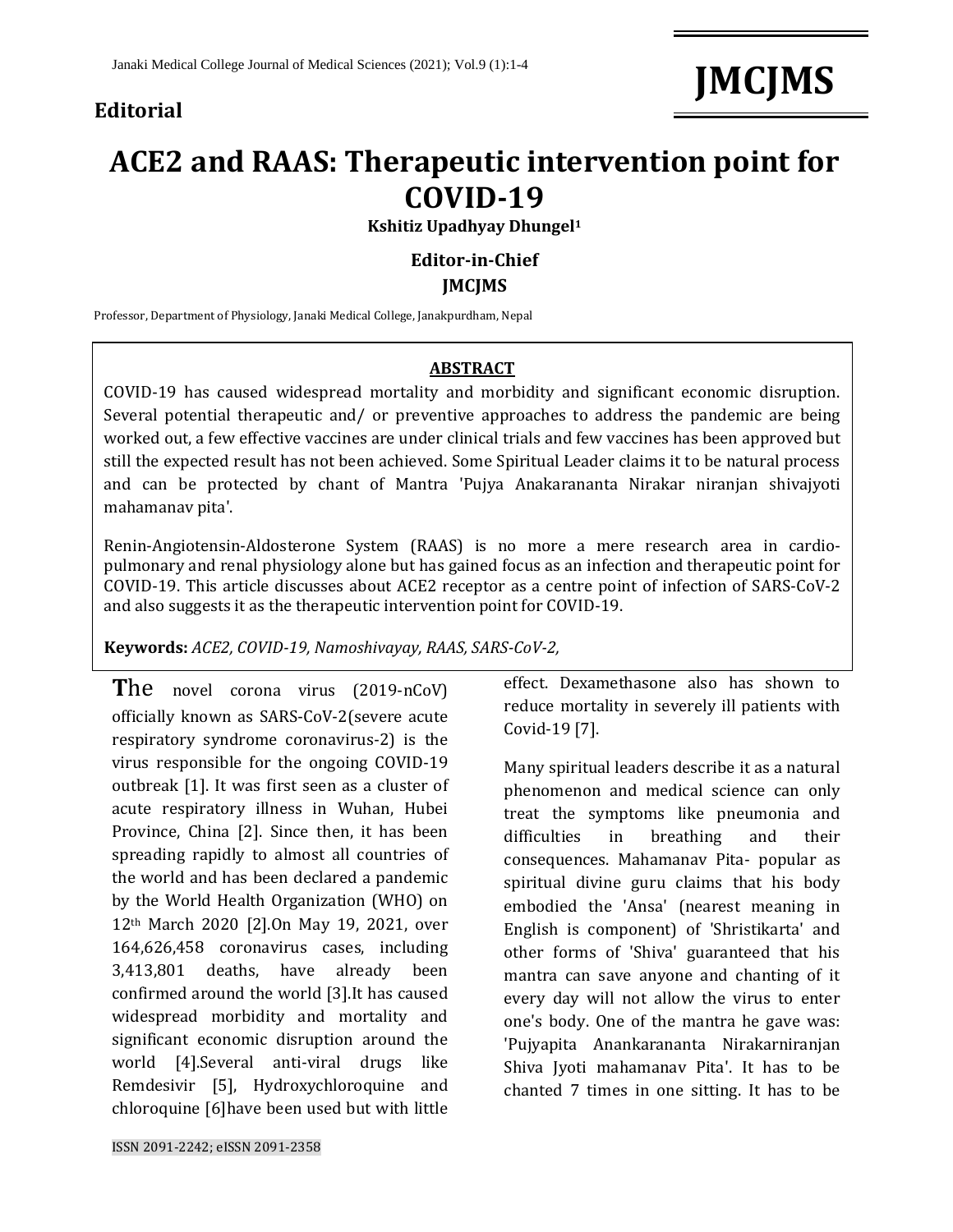### **Editorial**

# **JMCJMS**

## **ACE2 and RAAS: Therapeutic intervention point for COVID-19**

**Kshitiz Upadhyay Dhungel<sup>1</sup>**

#### **Editor-in-Chief JMCJMS**

Professor, Department of Physiology, Janaki Medical College, Janakpurdham, Nepal

#### **ABSTRACT**

COVID-19 has caused widespread mortality and morbidity and significant economic disruption. Several potential therapeutic and/ or preventive approaches to address the pandemic are being worked out, a few effective vaccines are under clinical trials and few vaccines has been approved but still the expected result has not been achieved. Some Spiritual Leader claims it to be natural process and can be protected by chant of Mantra 'Pujya Anakarananta Nirakar niranjan shivajyoti mahamanav pita'.

Renin-Angiotensin-Aldosterone System (RAAS) is no more a mere research area in cardiopulmonary and renal physiology alone but has gained focus as an infection and therapeutic point for COVID-19. This article discusses about ACE2 receptor as a centre point of infection of SARS-CoV-2 and also suggests it as the therapeutic intervention point for COVID-19.

**Keywords:** *ACE2, COVID-19, Namoshivayay, RAAS, SARS-CoV-2,*

**T**he novel corona virus (2019-nCoV) officially known as SARS-CoV-2(severe acute respiratory syndrome coronavirus-2) is the virus responsible for the ongoing COVID-19 outbreak [1]. It was first seen as a cluster of acute respiratory illness in Wuhan, Hubei Province, China [2]. Since then, it has been spreading rapidly to almost all countries of the world and has been declared a pandemic by the World Health Organization (WHO) on 12th March 2020 [2].On May 19, 2021, over 164,626,458 coronavirus cases, including 3,413,801 deaths, have already been confirmed around the world [3].It has caused widespread morbidity and mortality and significant economic disruption around the world [4].Several anti-viral drugs like Remdesivir [5], Hydroxychloroquine and chloroquine [6]have been used but with little

effect. Dexamethasone also has shown to reduce mortality in severely ill patients with Covid-19 [7].

Many spiritual leaders describe it as a natural phenomenon and medical science can only treat the symptoms like pneumonia and difficulties in breathing and their consequences. Mahamanav Pita- popular as spiritual divine guru claims that his body embodied the 'Ansa' (nearest meaning in English is component) of 'Shristikarta' and other forms of 'Shiva' guaranteed that his mantra can save anyone and chanting of it every day will not allow the virus to enter one's body. One of the mantra he gave was: 'Pujyapita Anankarananta Nirakarniranjan Shiva Jyoti mahamanav Pita'. It has to be chanted 7 times in one sitting. It has to be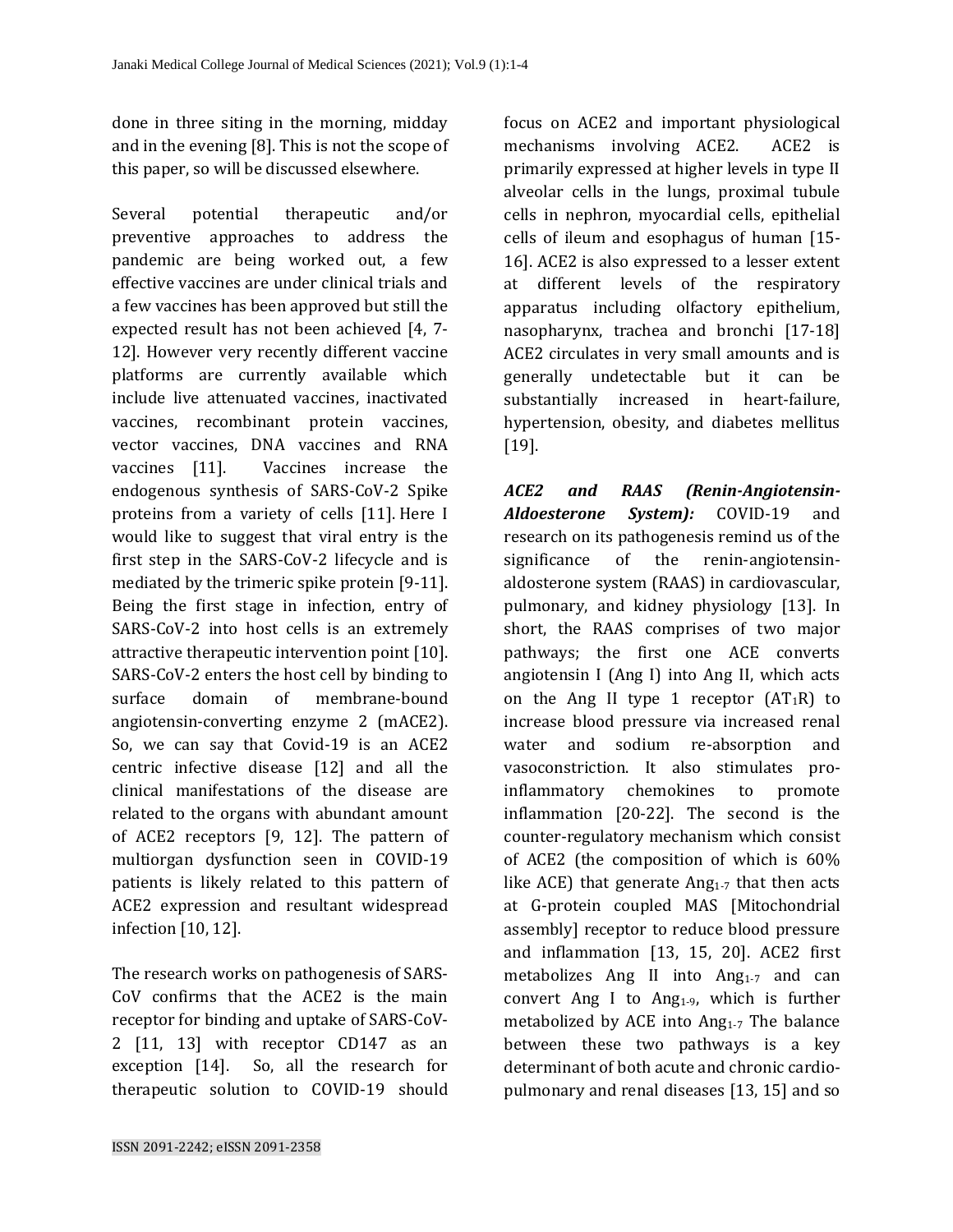done in three siting in the morning, midday and in the evening [8]. This is not the scope of this paper, so will be discussed elsewhere.

Several potential therapeutic and/or preventive approaches to address the pandemic are being worked out, a few effective vaccines are under clinical trials and a few vaccines has been approved but still the expected result has not been achieved [4, 7- 12]. However very recently different vaccine platforms are currently available which include live attenuated vaccines, inactivated vaccines, recombinant protein vaccines, vector vaccines, DNA vaccines and RNA vaccines [11]. Vaccines increase the endogenous synthesis of SARS-CoV-2 Spike proteins from a variety of cells [11]. Here I would like to suggest that viral entry is the first step in the SARS-CoV-2 lifecycle and is mediated by the trimeric spike protein [9-11]. Being the first stage in infection, entry of SARS-CoV-2 into host cells is an extremely attractive therapeutic intervention point [10]. SARS-CoV-2 enters the host cell by binding to surface domain of membrane-bound angiotensin-converting enzyme 2 (mACE2). So, we can say that Covid-19 is an ACE2 centric infective disease [12] and all the clinical manifestations of the disease are related to the organs with abundant amount of ACE2 receptors [9, 12]. The pattern of multiorgan dysfunction seen in COVID-19 patients is likely related to this pattern of ACE2 expression and resultant widespread infection [10, 12].

The research works on pathogenesis of SARS-CoV confirms that the ACE2 is the main receptor for binding and uptake of SARS-CoV-2 [11, 13] with receptor CD147 as an exception [14]. So, all the research for therapeutic solution to COVID-19 should

focus on ACE2 and important physiological mechanisms involving ACE2. ACE2 is primarily expressed at higher levels in type II alveolar cells in the lungs, proximal tubule cells in nephron, myocardial cells, epithelial cells of ileum and esophagus of human [15- 16]. ACE2 is also expressed to a lesser extent at different levels of the respiratory apparatus including olfactory epithelium, nasopharynx, trachea and bronchi [17-18] ACE2 circulates in very small amounts and is generally undetectable but it can be substantially increased in heart-failure, hypertension, obesity, and diabetes mellitus [19].

*ACE2 and RAAS (Renin-Angiotensin-Aldoesterone System):* COVID-19 and research on its pathogenesis remind us of the significance of the renin-angiotensinaldosterone system (RAAS) in cardiovascular, pulmonary, and kidney physiology [13]. In short, the RAAS comprises of two major pathways; the first one ACE converts angiotensin I (Ang I) into Ang II, which acts on the Ang II type 1 receptor  $(AT_1R)$  to increase blood pressure via increased renal water and sodium re-absorption and vasoconstriction. It also stimulates proinflammatory chemokines to promote inflammation [20-22]. The second is the counter-regulatory mechanism which consist of ACE2 (the composition of which is 60% like ACE) that generate  $Ang<sub>1-7</sub>$  that then acts at G-protein coupled MAS [Mitochondrial assembly] receptor to reduce blood pressure and inflammation [13, 15, 20]. ACE2 first metabolizes Ang II into  $Ang_{1-7}$  and can convert Ang I to Ang<sub>1-9</sub>, which is further metabolized by ACE into  $Ang_{1-7}$  The balance between these two pathways is a key determinant of both acute and chronic cardiopulmonary and renal diseases [13, 15] and so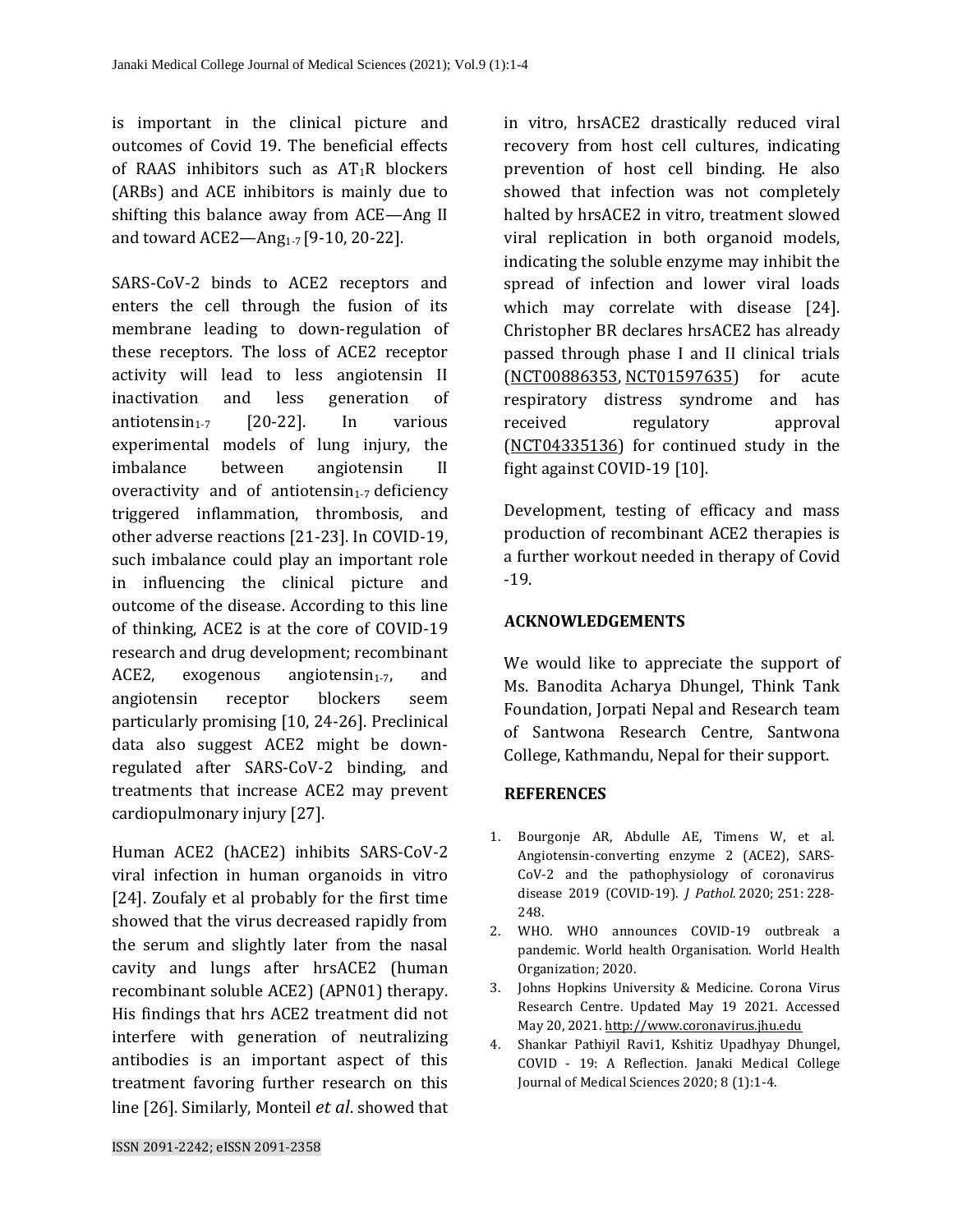is important in the clinical picture and outcomes of Covid 19. The beneficial effects of RAAS inhibitors such as  $AT_1R$  blockers (ARBs) and ACE inhibitors is mainly due to shifting this balance away from ACE—Ang II and toward ACE2—Ang<sub>1-7</sub> [9-10, 20-22].

SARS-CoV-2 binds to ACE2 receptors and enters the cell through the fusion of its membrane leading to down-regulation of these receptors. The loss of ACE2 receptor activity will lead to less angiotensin II inactivation and less generation of antiotensin<sub>1-7</sub> [20-22]. In various experimental models of lung injury, the imbalance between angiotensin II overactivity and of antiotensin<sub>1-7</sub> deficiency triggered inflammation, thrombosis, and other adverse reactions [21-23]. In COVID-19, such imbalance could play an important role in influencing the clinical picture and outcome of the disease. According to this line of thinking, ACE2 is at the core of COVID-19 research and drug development; recombinant ACE2, exogenous angiotensin<sub>1-7</sub>, and angiotensin receptor blockers seem particularly promising [10, 24-26]. Preclinical data also suggest ACE2 might be downregulated after SARS-CoV-2 binding, and treatments that increase ACE2 may prevent cardiopulmonary injury [27].

Human ACE2 (hACE2) inhibits SARS-CoV-2 viral infection in human organoids in vitro [24]. Zoufaly et al probably for the first time showed that the virus decreased rapidly from the serum and slightly later from the nasal cavity and lungs after hrsACE2 (human recombinant soluble ACE2) (APN01) therapy. His findings that hrs ACE2 treatment did not interfere with generation of neutralizing antibodies is an important aspect of this treatment favoring further research on this line [26]. Similarly, Monteil *et al*. showed that

in vitro, hrsACE2 drastically reduced viral recovery from host cell cultures, indicating prevention of host cell binding. He also showed that infection was not completely halted by hrsACE2 in vitro, treatment slowed viral replication in both organoid models, indicating the soluble enzyme may inhibit the spread of infection and lower viral loads which may correlate with disease [24]. Christopher BR declares hrsACE2 has already passed through phase I and II clinical trials [\(NCT00886353,](https://stm.sciencemag.org/lookup/external-ref?link_type=CLINTRIALGOV&access_num=NCT00886353&atom=%2Fscitransmed%2F12%2F541%2Feabb5676.atom) [NCT01597635\)](https://stm.sciencemag.org/lookup/external-ref?link_type=CLINTRIALGOV&access_num=NCT01597635&atom=%2Fscitransmed%2F12%2F541%2Feabb5676.atom) for acute respiratory distress syndrome and has received regulatory approval [\(NCT04335136\)](https://stm.sciencemag.org/lookup/external-ref?link_type=CLINTRIALGOV&access_num=NCT04335136&atom=%2Fscitransmed%2F12%2F541%2Feabb5676.atom) for continued study in the fight against COVID-19 [10].

Development, testing of efficacy and mass production of recombinant ACE2 therapies is a further workout needed in therapy of Covid -19.

#### **ACKNOWLEDGEMENTS**

We would like to appreciate the support of Ms. Banodita Acharya Dhungel, Think Tank Foundation, Jorpati Nepal and Research team of Santwona Research Centre, Santwona College, Kathmandu, Nepal for their support.

#### **REFERENCES**

- 1. Bourgonje AR, Abdulle AE, Timens W, et al. Angiotensin-converting enzyme 2 (ACE2), SARS-CoV-2 and the pathophysiology of coronavirus disease 2019 (COVID-19). *J Pathol.* 2020; 251: 228- 248.
- 2. WHO. WHO announces COVID-19 outbreak a pandemic. World health Organisation. World Health Organization; 2020.
- 3. Johns Hopkins University & Medicine. Corona Virus Research Centre. Updated May 19 2021. Accessed May 20, 2021. [http://www.coronavirus.jhu.edu](http://www.coronavirus.jhu.edu/)
- 4. Shankar Pathiyil Ravi1, Kshitiz Upadhyay Dhungel, COVID - 19: A Reflection. Janaki Medical College Journal of Medical Sciences 2020; 8 (1):1-4.